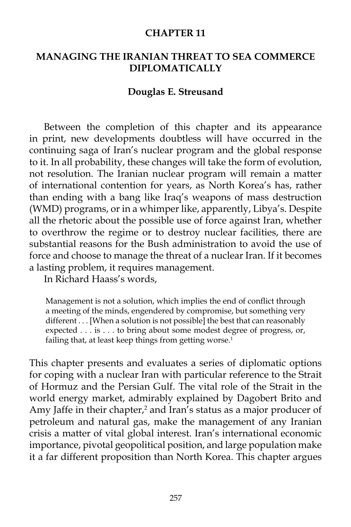#### **CHAPTER 11**

### **MANAGING THE IRANIAN THREAT TO SEA COMMERCE DIPLOMATICALLY**

#### **Douglas E. Streusand**

 Between the completion of this chapter and its appearance in print, new developments doubtless will have occurred in the continuing saga of Iran's nuclear program and the global response to it. In all probability, these changes will take the form of evolution, not resolution. The Iranian nuclear program will remain a matter of international contention for years, as North Korea's has, rather than ending with a bang like Iraq's weapons of mass destruction (WMD) programs, or in a whimper like, apparently, Libya's. Despite all the rhetoric about the possible use of force against Iran, whether to overthrow the regime or to destroy nuclear facilities, there are substantial reasons for the Bush administration to avoid the use of force and choose to manage the threat of a nuclear Iran. If it becomes a lasting problem, it requires management.

In Richard Haass's words,

Management is not a solution, which implies the end of conflict through a meeting of the minds, engendered by compromise, but something very different . . . [When a solution is not possible] the best that can reasonably expected . . . is . . . to bring about some modest degree of progress, or, failing that, at least keep things from getting worse.<sup>1</sup>

This chapter presents and evaluates a series of diplomatic options for coping with a nuclear Iran with particular reference to the Strait of Hormuz and the Persian Gulf. The vital role of the Strait in the world energy market, admirably explained by Dagobert Brito and Amy Jaffe in their chapter,<sup>2</sup> and Iran's status as a major producer of petroleum and natural gas, make the management of any Iranian crisis a matter of vital global interest. Iran's international economic importance, pivotal geopolitical position, and large population make it a far different proposition than North Korea. This chapter argues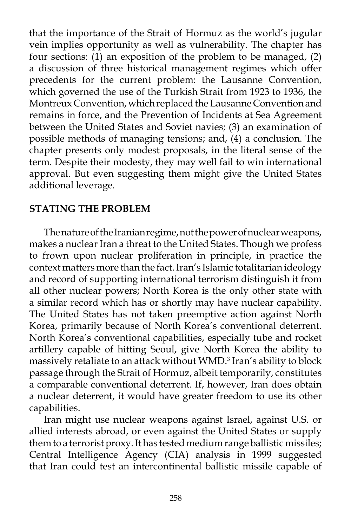that the importance of the Strait of Hormuz as the world's jugular vein implies opportunity as well as vulnerability. The chapter has four sections:  $(1)$  an exposition of the problem to be managed,  $(2)$ a discussion of three historical management regimes which offer precedents for the current problem: the Lausanne Convention, which governed the use of the Turkish Strait from 1923 to 1936, the Montreux Convention, which replaced the Lausanne Convention and remains in force, and the Prevention of Incidents at Sea Agreement between the United States and Soviet navies; (3) an examination of possible methods of managing tensions; and, (4) a conclusion. The chapter presents only modest proposals, in the literal sense of the term. Despite their modesty, they may well fail to win international approval. But even suggesting them might give the United States additional leverage.

## **STATING THE PROBLEM**

 The nature of the Iranian regime, not the power of nuclear weapons, makes a nuclear Iran a threat to the United States. Though we profess to frown upon nuclear proliferation in principle, in practice the context matters more than the fact. Iran's Islamic totalitarian ideology and record of supporting international terrorism distinguish it from all other nuclear powers; North Korea is the only other state with a similar record which has or shortly may have nuclear capability. The United States has not taken preemptive action against North Korea, primarily because of North Korea's conventional deterrent. North Korea's conventional capabilities, especially tube and rocket artillery capable of hitting Seoul, give North Korea the ability to massively retaliate to an attack without WMD.3 Iran's ability to block passage through the Strait of Hormuz, albeit temporarily, constitutes a comparable conventional deterrent. If, however, Iran does obtain a nuclear deterrent, it would have greater freedom to use its other capabilities.

 Iran might use nuclear weapons against Israel, against U.S. or allied interests abroad, or even against the United States or supply them to a terrorist proxy. It has tested medium range ballistic missiles; Central Intelligence Agency (CIA) analysis in 1999 suggested that Iran could test an intercontinental ballistic missile capable of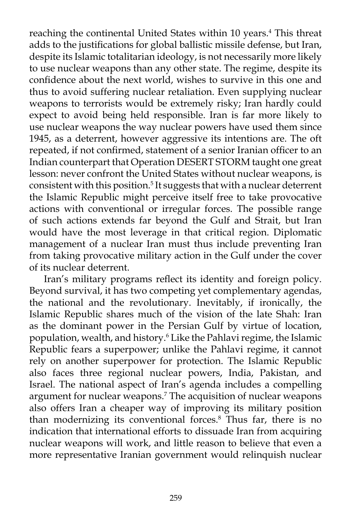reaching the continental United States within 10 years.<sup>4</sup> This threat adds to the justifications for global ballistic missile defense, but Iran, despite its Islamic totalitarian ideology, is not necessarily more likely to use nuclear weapons than any other state. The regime, despite its confidence about the next world, wishes to survive in this one and thus to avoid suffering nuclear retaliation. Even supplying nuclear weapons to terrorists would be extremely risky; Iran hardly could expect to avoid being held responsible. Iran is far more likely to use nuclear weapons the way nuclear powers have used them since 1945, as a deterrent, however aggressive its intentions are. The oft repeated, if not confirmed, statement of a senior Iranian officer to an Indian counterpart that Operation DESERT STORM taught one great lesson: never confront the United States without nuclear weapons, is consistent with this position.5 It suggests that with a nuclear deterrent the Islamic Republic might perceive itself free to take provocative actions with conventional or irregular forces. The possible range of such actions extends far beyond the Gulf and Strait, but Iran would have the most leverage in that critical region. Diplomatic management of a nuclear Iran must thus include preventing Iran from taking provocative military action in the Gulf under the cover of its nuclear deterrent.

 Iran's military programs reflect its identity and foreign policy. Beyond survival, it has two competing yet complementary agendas, the national and the revolutionary. Inevitably, if ironically, the Islamic Republic shares much of the vision of the late Shah: Iran as the dominant power in the Persian Gulf by virtue of location, population, wealth, and history.6 Like the Pahlavi regime, the Islamic Republic fears a superpower; unlike the Pahlavi regime, it cannot rely on another superpower for protection. The Islamic Republic also faces three regional nuclear powers, India, Pakistan, and Israel. The national aspect of Iran's agenda includes a compelling argument for nuclear weapons.7 The acquisition of nuclear weapons also offers Iran a cheaper way of improving its military position than modernizing its conventional forces.8 Thus far, there is no indication that international efforts to dissuade Iran from acquiring nuclear weapons will work, and little reason to believe that even a more representative Iranian government would relinquish nuclear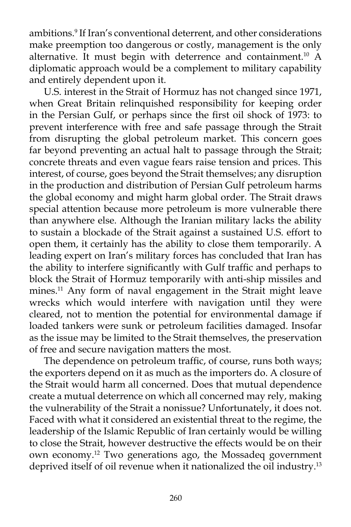ambitions.9 If Iran's conventional deterrent, and other considerations make preemption too dangerous or costly, management is the only alternative. It must begin with deterrence and containment.<sup>10</sup> A diplomatic approach would be a complement to military capability and entirely dependent upon it.

 U.S. interest in the Strait of Hormuz has not changed since 1971, when Great Britain relinquished responsibility for keeping order in the Persian Gulf, or perhaps since the first oil shock of 1973: to prevent interference with free and safe passage through the Strait from disrupting the global petroleum market. This concern goes far beyond preventing an actual halt to passage through the Strait; concrete threats and even vague fears raise tension and prices. This interest, of course, goes beyond the Strait themselves; any disruption in the production and distribution of Persian Gulf petroleum harms the global economy and might harm global order. The Strait draws special attention because more petroleum is more vulnerable there than anywhere else. Although the Iranian military lacks the ability to sustain a blockade of the Strait against a sustained U.S. effort to open them, it certainly has the ability to close them temporarily. A leading expert on Iran's military forces has concluded that Iran has the ability to interfere significantly with Gulf traffic and perhaps to block the Strait of Hormuz temporarily with anti-ship missiles and mines.<sup>11</sup> Any form of naval engagement in the Strait might leave wrecks which would interfere with navigation until they were cleared, not to mention the potential for environmental damage if loaded tankers were sunk or petroleum facilities damaged. Insofar as the issue may be limited to the Strait themselves, the preservation of free and secure navigation matters the most.

 The dependence on petroleum traffic, of course, runs both ways; the exporters depend on it as much as the importers do. A closure of the Strait would harm all concerned. Does that mutual dependence create a mutual deterrence on which all concerned may rely, making the vulnerability of the Strait a nonissue? Unfortunately, it does not. Faced with what it considered an existential threat to the regime, the leadership of the Islamic Republic of Iran certainly would be willing to close the Strait, however destructive the effects would be on their own economy.12 Two generations ago, the Mossadeq government deprived itself of oil revenue when it nationalized the oil industry.<sup>13</sup>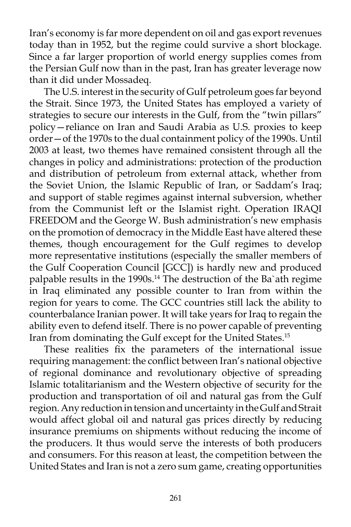Iran's economy is far more dependent on oil and gas export revenues today than in 1952, but the regime could survive a short blockage. Since a far larger proportion of world energy supplies comes from the Persian Gulf now than in the past, Iran has greater leverage now than it did under Mossadeq.

 The U.S. interest in the security of Gulf petroleum goes far beyond the Strait. Since 1973, the United States has employed a variety of strategies to secure our interests in the Gulf, from the "twin pillars" policy—reliance on Iran and Saudi Arabia as U.S. proxies to keep order—of the 1970s to the dual containment policy of the 1990s. Until 2003 at least, two themes have remained consistent through all the changes in policy and administrations: protection of the production and distribution of petroleum from external attack, whether from the Soviet Union, the Islamic Republic of Iran, or Saddam's Iraq; and support of stable regimes against internal subversion, whether from the Communist left or the Islamist right. Operation IRAQI FREEDOM and the George W. Bush administration's new emphasis on the promotion of democracy in the Middle East have altered these themes, though encouragement for the Gulf regimes to develop more representative institutions (especially the smaller members of the Gulf Cooperation Council [GCC]) is hardly new and produced palpable results in the 1990s.<sup>14</sup> The destruction of the Ba`ath regime in Iraq eliminated any possible counter to Iran from within the region for years to come. The GCC countries still lack the ability to counterbalance Iranian power. It will take years for Iraq to regain the ability even to defend itself. There is no power capable of preventing Iran from dominating the Gulf except for the United States.15

 These realities fix the parameters of the international issue requiring management: the conflict between Iran's national objective of regional dominance and revolutionary objective of spreading Islamic totalitarianism and the Western objective of security for the production and transportation of oil and natural gas from the Gulf region. Any reduction in tension and uncertainty in the Gulf and Strait would affect global oil and natural gas prices directly by reducing insurance premiums on shipments without reducing the income of the producers. It thus would serve the interests of both producers and consumers. For this reason at least, the competition between the United States and Iran is not a zero sum game, creating opportunities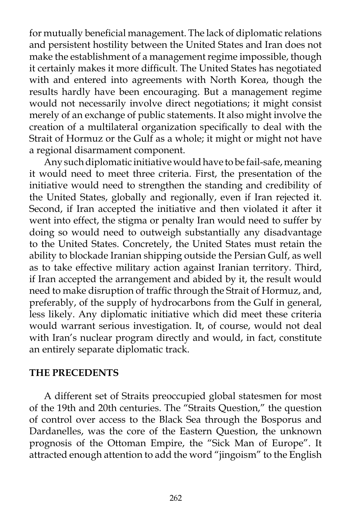for mutually beneficial management. The lack of diplomatic relations and persistent hostility between the United States and Iran does not make the establishment of a management regime impossible, though it certainly makes it more difficult. The United States has negotiated with and entered into agreements with North Korea, though the results hardly have been encouraging. But a management regime would not necessarily involve direct negotiations; it might consist merely of an exchange of public statements. It also might involve the creation of a multilateral organization specifically to deal with the Strait of Hormuz or the Gulf as a whole; it might or might not have a regional disarmament component.

 Any such diplomatic initiative would have to be fail-safe, meaning it would need to meet three criteria. First, the presentation of the initiative would need to strengthen the standing and credibility of the United States, globally and regionally, even if Iran rejected it. Second, if Iran accepted the initiative and then violated it after it went into effect, the stigma or penalty Iran would need to suffer by doing so would need to outweigh substantially any disadvantage to the United States. Concretely, the United States must retain the ability to blockade Iranian shipping outside the Persian Gulf, as well as to take effective military action against Iranian territory. Third, if Iran accepted the arrangement and abided by it, the result would need to make disruption of traffic through the Strait of Hormuz, and, preferably, of the supply of hydrocarbons from the Gulf in general, less likely. Any diplomatic initiative which did meet these criteria would warrant serious investigation. It, of course, would not deal with Iran's nuclear program directly and would, in fact, constitute an entirely separate diplomatic track.

### **THE PRECEDENTS**

 A different set of Straits preoccupied global statesmen for most of the 19th and 20th centuries. The "Straits Question," the question of control over access to the Black Sea through the Bosporus and Dardanelles, was the core of the Eastern Question, the unknown prognosis of the Ottoman Empire, the "Sick Man of Europe". It attracted enough attention to add the word "jingoism" to the English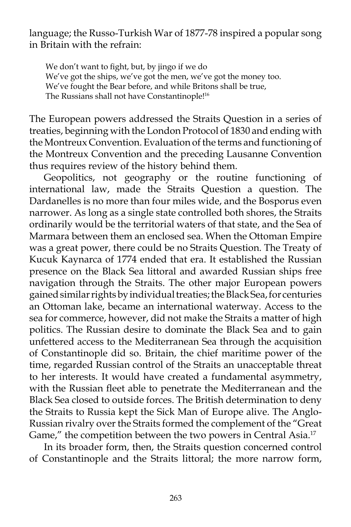language; the Russo-Turkish War of 1877-78 inspired a popular song in Britain with the refrain:

We don't want to fight, but, by jingo if we do We've got the ships, we've got the men, we've got the money too. We've fought the Bear before, and while Britons shall be true, The Russians shall not have Constantinople!<sup>16</sup>

The European powers addressed the Straits Question in a series of treaties, beginning with the London Protocol of 1830 and ending with the Montreux Convention. Evaluation of the terms and functioning of the Montreux Convention and the preceding Lausanne Convention thus requires review of the history behind them.

 Geopolitics, not geography or the routine functioning of international law, made the Straits Question a question. The Dardanelles is no more than four miles wide, and the Bosporus even narrower. As long as a single state controlled both shores, the Straits ordinarily would be the territorial waters of that state, and the Sea of Marmara between them an enclosed sea. When the Ottoman Empire was a great power, there could be no Straits Question. The Treaty of Kucuk Kaynarca of 1774 ended that era. It established the Russian presence on the Black Sea littoral and awarded Russian ships free navigation through the Straits. The other major European powers gained similar rights by individual treaties; the Black Sea, for centuries an Ottoman lake, became an international waterway. Access to the sea for commerce, however, did not make the Straits a matter of high politics. The Russian desire to dominate the Black Sea and to gain unfettered access to the Mediterranean Sea through the acquisition of Constantinople did so. Britain, the chief maritime power of the time, regarded Russian control of the Straits an unacceptable threat to her interests. It would have created a fundamental asymmetry, with the Russian fleet able to penetrate the Mediterranean and the Black Sea closed to outside forces. The British determination to deny the Straits to Russia kept the Sick Man of Europe alive. The Anglo-Russian rivalry over the Straits formed the complement of the "Great Game," the competition between the two powers in Central Asia.<sup>17</sup>

 In its broader form, then, the Straits question concerned control of Constantinople and the Straits littoral; the more narrow form,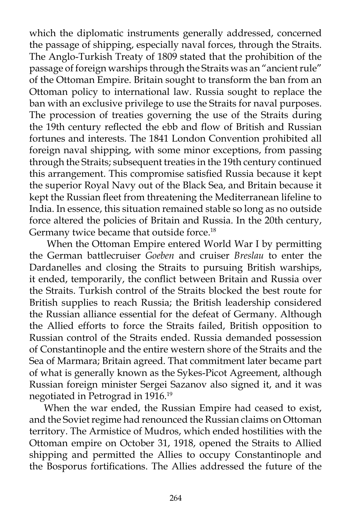which the diplomatic instruments generally addressed, concerned the passage of shipping, especially naval forces, through the Straits. The Anglo-Turkish Treaty of 1809 stated that the prohibition of the passage of foreign warships through the Straits was an "ancient rule" of the Ottoman Empire. Britain sought to transform the ban from an Ottoman policy to international law. Russia sought to replace the ban with an exclusive privilege to use the Straits for naval purposes. The procession of treaties governing the use of the Straits during the 19th century reflected the ebb and flow of British and Russian fortunes and interests. The 1841 London Convention prohibited all foreign naval shipping, with some minor exceptions, from passing through the Straits; subsequent treaties in the 19th century continued this arrangement. This compromise satisfied Russia because it kept the superior Royal Navy out of the Black Sea, and Britain because it kept the Russian fleet from threatening the Mediterranean lifeline to India. In essence, this situation remained stable so long as no outside force altered the policies of Britain and Russia. In the 20th century, Germany twice became that outside force.<sup>18</sup>

 When the Ottoman Empire entered World War I by permitting the German battlecruiser *Goeben* and cruiser *Breslau* to enter the Dardanelles and closing the Straits to pursuing British warships, it ended, temporarily, the conflict between Britain and Russia over the Straits. Turkish control of the Straits blocked the best route for British supplies to reach Russia; the British leadership considered the Russian alliance essential for the defeat of Germany. Although the Allied efforts to force the Straits failed, British opposition to Russian control of the Straits ended. Russia demanded possession of Constantinople and the entire western shore of the Straits and the Sea of Marmara; Britain agreed. That commitment later became part of what is generally known as the Sykes-Picot Agreement, although Russian foreign minister Sergei Sazanov also signed it, and it was negotiated in Petrograd in 1916.19

 When the war ended, the Russian Empire had ceased to exist, and the Soviet regime had renounced the Russian claims on Ottoman territory. The Armistice of Mudros, which ended hostilities with the Ottoman empire on October 31, 1918, opened the Straits to Allied shipping and permitted the Allies to occupy Constantinople and the Bosporus fortifications. The Allies addressed the future of the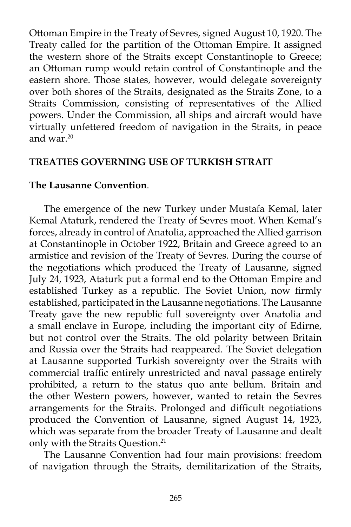Ottoman Empire in the Treaty of Sevres, signed August 10, 1920. The Treaty called for the partition of the Ottoman Empire. It assigned the western shore of the Straits except Constantinople to Greece; an Ottoman rump would retain control of Constantinople and the eastern shore. Those states, however, would delegate sovereignty over both shores of the Straits, designated as the Straits Zone, to a Straits Commission, consisting of representatives of the Allied powers. Under the Commission, all ships and aircraft would have virtually unfettered freedom of navigation in the Straits, in peace and war $20$ 

# **TREATIES GOVERNING USE OF TURKISH STRAIT**

## **The Lausanne Convention**.

 The emergence of the new Turkey under Mustafa Kemal, later Kemal Ataturk, rendered the Treaty of Sevres moot. When Kemal's forces, already in control of Anatolia, approached the Allied garrison at Constantinople in October 1922, Britain and Greece agreed to an armistice and revision of the Treaty of Sevres. During the course of the negotiations which produced the Treaty of Lausanne, signed July 24, 1923, Ataturk put a formal end to the Ottoman Empire and established Turkey as a republic. The Soviet Union, now firmly established, participated in the Lausanne negotiations. The Lausanne Treaty gave the new republic full sovereignty over Anatolia and a small enclave in Europe, including the important city of Edirne, but not control over the Straits. The old polarity between Britain and Russia over the Straits had reappeared. The Soviet delegation at Lausanne supported Turkish sovereignty over the Straits with commercial traffic entirely unrestricted and naval passage entirely prohibited, a return to the status quo ante bellum. Britain and the other Western powers, however, wanted to retain the Sevres arrangements for the Straits. Prolonged and difficult negotiations produced the Convention of Lausanne, signed August 14, 1923, which was separate from the broader Treaty of Lausanne and dealt only with the Straits Question.<sup>21</sup>

 The Lausanne Convention had four main provisions: freedom of navigation through the Straits, demilitarization of the Straits,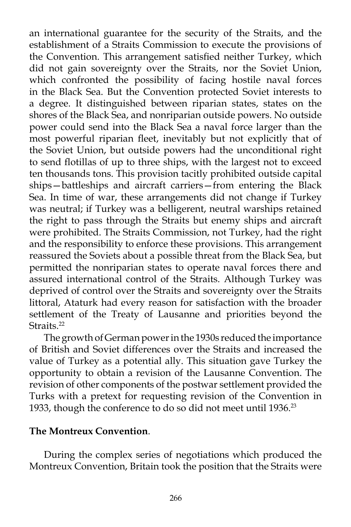an international guarantee for the security of the Straits, and the establishment of a Straits Commission to execute the provisions of the Convention. This arrangement satisfied neither Turkey, which did not gain sovereignty over the Straits, nor the Soviet Union, which confronted the possibility of facing hostile naval forces in the Black Sea. But the Convention protected Soviet interests to a degree. It distinguished between riparian states, states on the shores of the Black Sea, and nonriparian outside powers. No outside power could send into the Black Sea a naval force larger than the most powerful riparian fleet, inevitably but not explicitly that of the Soviet Union, but outside powers had the unconditional right to send flotillas of up to three ships, with the largest not to exceed ten thousands tons. This provision tacitly prohibited outside capital ships—battleships and aircraft carriers—from entering the Black Sea. In time of war, these arrangements did not change if Turkey was neutral; if Turkey was a belligerent, neutral warships retained the right to pass through the Straits but enemy ships and aircraft were prohibited. The Straits Commission, not Turkey, had the right and the responsibility to enforce these provisions. This arrangement reassured the Soviets about a possible threat from the Black Sea, but permitted the nonriparian states to operate naval forces there and assured international control of the Straits. Although Turkey was deprived of control over the Straits and sovereignty over the Straits littoral, Ataturk had every reason for satisfaction with the broader settlement of the Treaty of Lausanne and priorities beyond the Straits.<sup>22</sup>

 The growth of German power in the 1930s reduced the importance of British and Soviet differences over the Straits and increased the value of Turkey as a potential ally. This situation gave Turkey the opportunity to obtain a revision of the Lausanne Convention. The revision of other components of the postwar settlement provided the Turks with a pretext for requesting revision of the Convention in 1933, though the conference to do so did not meet until 1936.<sup>23</sup>

### **The Montreux Convention**.

 During the complex series of negotiations which produced the Montreux Convention, Britain took the position that the Straits were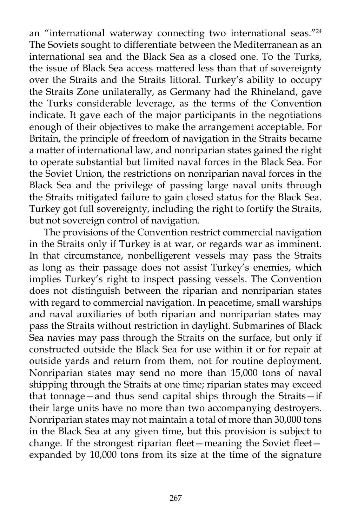an "international waterway connecting two international seas."24 The Soviets sought to differentiate between the Mediterranean as an international sea and the Black Sea as a closed one. To the Turks, the issue of Black Sea access mattered less than that of sovereignty over the Straits and the Straits littoral. Turkey's ability to occupy the Straits Zone unilaterally, as Germany had the Rhineland, gave the Turks considerable leverage, as the terms of the Convention indicate. It gave each of the major participants in the negotiations enough of their objectives to make the arrangement acceptable. For Britain, the principle of freedom of navigation in the Straits became a matter of international law, and nonriparian states gained the right to operate substantial but limited naval forces in the Black Sea. For the Soviet Union, the restrictions on nonriparian naval forces in the Black Sea and the privilege of passing large naval units through the Straits mitigated failure to gain closed status for the Black Sea. Turkey got full sovereignty, including the right to fortify the Straits, but not sovereign control of navigation.

 The provisions of the Convention restrict commercial navigation in the Straits only if Turkey is at war, or regards war as imminent. In that circumstance, nonbelligerent vessels may pass the Straits as long as their passage does not assist Turkey's enemies, which implies Turkey's right to inspect passing vessels. The Convention does not distinguish between the riparian and nonriparian states with regard to commercial navigation. In peacetime, small warships and naval auxiliaries of both riparian and nonriparian states may pass the Straits without restriction in daylight. Submarines of Black Sea navies may pass through the Straits on the surface, but only if constructed outside the Black Sea for use within it or for repair at outside yards and return from them, not for routine deployment. Nonriparian states may send no more than 15,000 tons of naval shipping through the Straits at one time; riparian states may exceed that tonnage—and thus send capital ships through the Straits—if their large units have no more than two accompanying destroyers. Nonriparian states may not maintain a total of more than 30,000 tons in the Black Sea at any given time, but this provision is subject to change. If the strongest riparian fleet—meaning the Soviet fleet expanded by 10,000 tons from its size at the time of the signature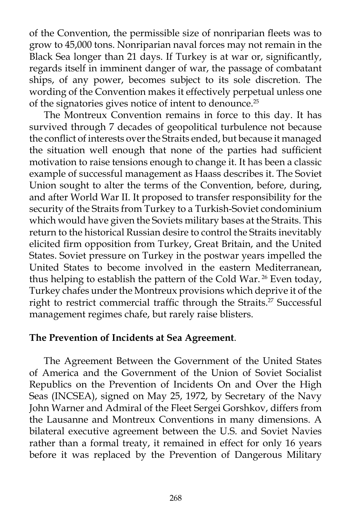of the Convention, the permissible size of nonriparian fleets was to grow to 45,000 tons. Nonriparian naval forces may not remain in the Black Sea longer than 21 days. If Turkey is at war or, significantly, regards itself in imminent danger of war, the passage of combatant ships, of any power, becomes subject to its sole discretion. The wording of the Convention makes it effectively perpetual unless one of the signatories gives notice of intent to denounce.25

 The Montreux Convention remains in force to this day. It has survived through 7 decades of geopolitical turbulence not because the conflict of interests over the Straits ended, but because it managed the situation well enough that none of the parties had sufficient motivation to raise tensions enough to change it. It has been a classic example of successful management as Haass describes it. The Soviet Union sought to alter the terms of the Convention, before, during, and after World War II. It proposed to transfer responsibility for the security of the Straits from Turkey to a Turkish-Soviet condominium which would have given the Soviets military bases at the Straits. This return to the historical Russian desire to control the Straits inevitably elicited firm opposition from Turkey, Great Britain, and the United States. Soviet pressure on Turkey in the postwar years impelled the United States to become involved in the eastern Mediterranean, thus helping to establish the pattern of the Cold War.<sup>26</sup> Even today, Turkey chafes under the Montreux provisions which deprive it of the right to restrict commercial traffic through the Straits.<sup>27</sup> Successful management regimes chafe, but rarely raise blisters.

## **The Prevention of Incidents at Sea Agreement**.

 The Agreement Between the Government of the United States of America and the Government of the Union of Soviet Socialist Republics on the Prevention of Incidents On and Over the High Seas (INCSEA), signed on May 25, 1972, by Secretary of the Navy John Warner and Admiral of the Fleet Sergei Gorshkov, differs from the Lausanne and Montreux Conventions in many dimensions. A bilateral executive agreement between the U.S. and Soviet Navies rather than a formal treaty, it remained in effect for only 16 years before it was replaced by the Prevention of Dangerous Military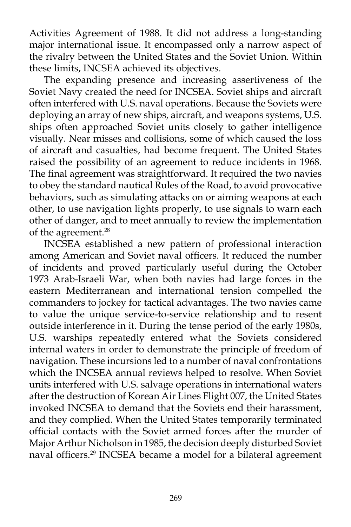Activities Agreement of 1988. It did not address a long-standing major international issue. It encompassed only a narrow aspect of the rivalry between the United States and the Soviet Union. Within these limits, INCSEA achieved its objectives.

 The expanding presence and increasing assertiveness of the Soviet Navy created the need for INCSEA. Soviet ships and aircraft often interfered with U.S. naval operations. Because the Soviets were deploying an array of new ships, aircraft, and weapons systems, U.S. ships often approached Soviet units closely to gather intelligence visually. Near misses and collisions, some of which caused the loss of aircraft and casualties, had become frequent. The United States raised the possibility of an agreement to reduce incidents in 1968. The final agreement was straightforward. It required the two navies to obey the standard nautical Rules of the Road, to avoid provocative behaviors, such as simulating attacks on or aiming weapons at each other, to use navigation lights properly, to use signals to warn each other of danger, and to meet annually to review the implementation of the agreement.<sup>28</sup>

 INCSEA established a new pattern of professional interaction among American and Soviet naval officers. It reduced the number of incidents and proved particularly useful during the October 1973 Arab-Israeli War, when both navies had large forces in the eastern Mediterranean and international tension compelled the commanders to jockey for tactical advantages. The two navies came to value the unique service-to-service relationship and to resent outside interference in it. During the tense period of the early 1980s, U.S. warships repeatedly entered what the Soviets considered internal waters in order to demonstrate the principle of freedom of navigation. These incursions led to a number of naval confrontations which the INCSEA annual reviews helped to resolve. When Soviet units interfered with U.S. salvage operations in international waters after the destruction of Korean Air Lines Flight 007, the United States invoked INCSEA to demand that the Soviets end their harassment, and they complied. When the United States temporarily terminated official contacts with the Soviet armed forces after the murder of Major Arthur Nicholson in 1985, the decision deeply disturbed Soviet naval officers.29 INCSEA became a model for a bilateral agreement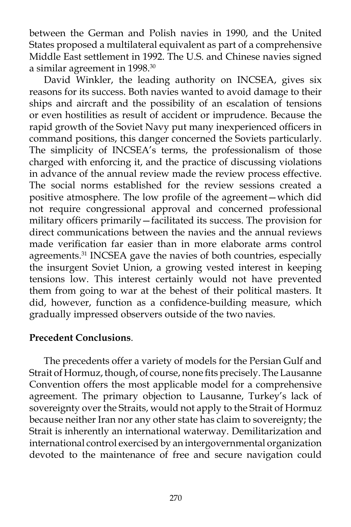between the German and Polish navies in 1990, and the United States proposed a multilateral equivalent as part of a comprehensive Middle East settlement in 1992. The U.S. and Chinese navies signed a similar agreement in 1998.30

 David Winkler, the leading authority on INCSEA, gives six reasons for its success. Both navies wanted to avoid damage to their ships and aircraft and the possibility of an escalation of tensions or even hostilities as result of accident or imprudence. Because the rapid growth of the Soviet Navy put many inexperienced officers in command positions, this danger concerned the Soviets particularly. The simplicity of INCSEA's terms, the professionalism of those charged with enforcing it, and the practice of discussing violations in advance of the annual review made the review process effective. The social norms established for the review sessions created a positive atmosphere. The low profile of the agreement—which did not require congressional approval and concerned professional military officers primarily—facilitated its success. The provision for direct communications between the navies and the annual reviews made verification far easier than in more elaborate arms control agreements.<sup>31</sup> INCSEA gave the navies of both countries, especially the insurgent Soviet Union, a growing vested interest in keeping tensions low. This interest certainly would not have prevented them from going to war at the behest of their political masters. It did, however, function as a confidence-building measure, which gradually impressed observers outside of the two navies.

## **Precedent Conclusions**.

 The precedents offer a variety of models for the Persian Gulf and Strait of Hormuz, though, of course, none fits precisely. The Lausanne Convention offers the most applicable model for a comprehensive agreement. The primary objection to Lausanne, Turkey's lack of sovereignty over the Straits, would not apply to the Strait of Hormuz because neither Iran nor any other state has claim to sovereignty; the Strait is inherently an international waterway. Demilitarization and international control exercised by an intergovernmental organization devoted to the maintenance of free and secure navigation could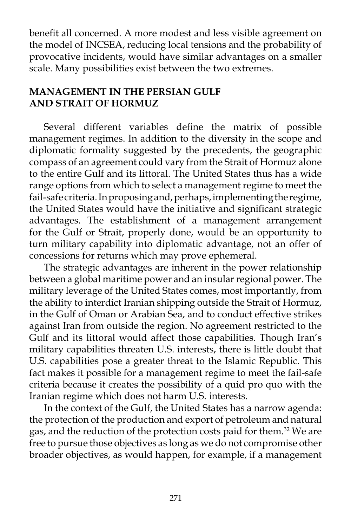benefit all concerned. A more modest and less visible agreement on the model of INCSEA, reducing local tensions and the probability of provocative incidents, would have similar advantages on a smaller scale. Many possibilities exist between the two extremes.

# **MANAGEMENT IN THE PERSIAN GULF AND STRAIT OF HORMUZ**

Several different variables define the matrix of possible management regimes. In addition to the diversity in the scope and diplomatic formality suggested by the precedents, the geographic compass of an agreement could vary from the Strait of Hormuz alone to the entire Gulf and its littoral. The United States thus has a wide range options from which to select a management regime to meet the fail-safe criteria. In proposing and, perhaps, implementing the regime, the United States would have the initiative and significant strategic advantages. The establishment of a management arrangement for the Gulf or Strait, properly done, would be an opportunity to turn military capability into diplomatic advantage, not an offer of concessions for returns which may prove ephemeral.

 The strategic advantages are inherent in the power relationship between a global maritime power and an insular regional power. The military leverage of the United States comes, most importantly, from the ability to interdict Iranian shipping outside the Strait of Hormuz, in the Gulf of Oman or Arabian Sea, and to conduct effective strikes against Iran from outside the region. No agreement restricted to the Gulf and its littoral would affect those capabilities. Though Iran's military capabilities threaten U.S. interests, there is little doubt that U.S. capabilities pose a greater threat to the Islamic Republic. This fact makes it possible for a management regime to meet the fail-safe criteria because it creates the possibility of a quid pro quo with the Iranian regime which does not harm U.S. interests.

 In the context of the Gulf, the United States has a narrow agenda: the protection of the production and export of petroleum and natural gas, and the reduction of the protection costs paid for them.<sup>32</sup> We are free to pursue those objectives as long as we do not compromise other broader objectives, as would happen, for example, if a management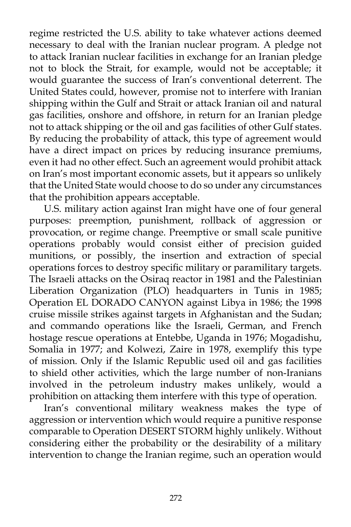regime restricted the U.S. ability to take whatever actions deemed necessary to deal with the Iranian nuclear program. A pledge not to attack Iranian nuclear facilities in exchange for an Iranian pledge not to block the Strait, for example, would not be acceptable; it would guarantee the success of Iran's conventional deterrent. The United States could, however, promise not to interfere with Iranian shipping within the Gulf and Strait or attack Iranian oil and natural gas facilities, onshore and offshore, in return for an Iranian pledge not to attack shipping or the oil and gas facilities of other Gulf states. By reducing the probability of attack, this type of agreement would have a direct impact on prices by reducing insurance premiums, even it had no other effect. Such an agreement would prohibit attack on Iran's most important economic assets, but it appears so unlikely that the United State would choose to do so under any circumstances that the prohibition appears acceptable.

 U.S. military action against Iran might have one of four general purposes: preemption, punishment, rollback of aggression or provocation, or regime change. Preemptive or small scale punitive operations probably would consist either of precision guided munitions, or possibly, the insertion and extraction of special operations forces to destroy specific military or paramilitary targets. The Israeli attacks on the Osiraq reactor in 1981 and the Palestinian Liberation Organization (PLO) headquarters in Tunis in 1985; Operation EL DORADO CANYON against Libya in 1986; the 1998 cruise missile strikes against targets in Afghanistan and the Sudan; and commando operations like the Israeli, German, and French hostage rescue operations at Entebbe, Uganda in 1976; Mogadishu, Somalia in 1977; and Kolwezi, Zaire in 1978, exemplify this type of mission. Only if the Islamic Republic used oil and gas facilities to shield other activities, which the large number of non-Iranians involved in the petroleum industry makes unlikely, would a prohibition on attacking them interfere with this type of operation.

 Iran's conventional military weakness makes the type of aggression or intervention which would require a punitive response comparable to Operation DESERT STORM highly unlikely. Without considering either the probability or the desirability of a military intervention to change the Iranian regime, such an operation would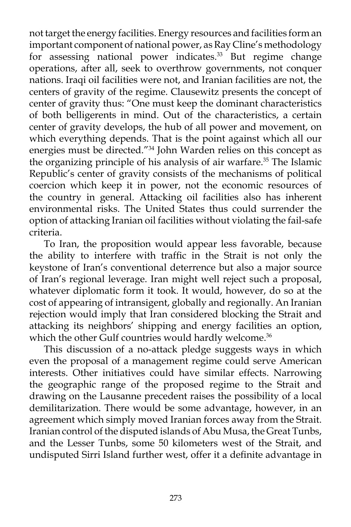not target the energy facilities. Energy resources and facilities form an important component of national power, as Ray Cline's methodology for assessing national power indicates.<sup>33</sup> But regime change operations, after all, seek to overthrow governments, not conquer nations. Iraqi oil facilities were not, and Iranian facilities are not, the centers of gravity of the regime. Clausewitz presents the concept of center of gravity thus: "One must keep the dominant characteristics of both belligerents in mind. Out of the characteristics, a certain center of gravity develops, the hub of all power and movement, on which everything depends. That is the point against which all our energies must be directed."34 John Warden relies on this concept as the organizing principle of his analysis of air warfare.<sup>35</sup> The Islamic Republic's center of gravity consists of the mechanisms of political coercion which keep it in power, not the economic resources of the country in general. Attacking oil facilities also has inherent environmental risks. The United States thus could surrender the option of attacking Iranian oil facilities without violating the fail-safe criteria.

 To Iran, the proposition would appear less favorable, because the ability to interfere with traffic in the Strait is not only the keystone of Iran's conventional deterrence but also a major source of Iran's regional leverage. Iran might well reject such a proposal, whatever diplomatic form it took. It would, however, do so at the cost of appearing of intransigent, globally and regionally. An Iranian rejection would imply that Iran considered blocking the Strait and attacking its neighbors' shipping and energy facilities an option, which the other Gulf countries would hardly welcome.<sup>36</sup>

 This discussion of a no-attack pledge suggests ways in which even the proposal of a management regime could serve American interests. Other initiatives could have similar effects. Narrowing the geographic range of the proposed regime to the Strait and drawing on the Lausanne precedent raises the possibility of a local demilitarization. There would be some advantage, however, in an agreement which simply moved Iranian forces away from the Strait. Iranian control of the disputed islands of Abu Musa, the Great Tunbs, and the Lesser Tunbs, some 50 kilometers west of the Strait, and undisputed Sirri Island further west, offer it a definite advantage in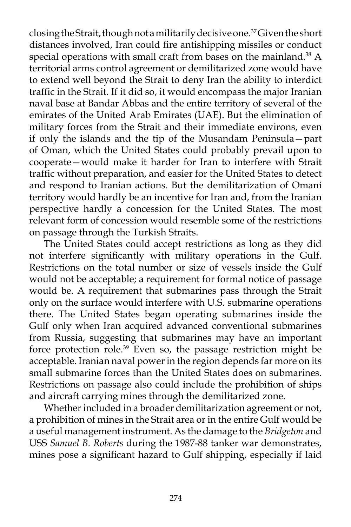closing the Strait, though not a militarily decisive one.37 Given the short distances involved, Iran could fire antishipping missiles or conduct special operations with small craft from bases on the mainland.<sup>38</sup> A territorial arms control agreement or demilitarized zone would have to extend well beyond the Strait to deny Iran the ability to interdict traffic in the Strait. If it did so, it would encompass the major Iranian naval base at Bandar Abbas and the entire territory of several of the emirates of the United Arab Emirates (UAE). But the elimination of military forces from the Strait and their immediate environs, even if only the islands and the tip of the Musandam Peninsula—part of Oman, which the United States could probably prevail upon to cooperate—would make it harder for Iran to interfere with Strait traffic without preparation, and easier for the United States to detect and respond to Iranian actions. But the demilitarization of Omani territory would hardly be an incentive for Iran and, from the Iranian perspective hardly a concession for the United States. The most relevant form of concession would resemble some of the restrictions on passage through the Turkish Straits.

 The United States could accept restrictions as long as they did not interfere significantly with military operations in the Gulf. Restrictions on the total number or size of vessels inside the Gulf would not be acceptable; a requirement for formal notice of passage would be. A requirement that submarines pass through the Strait only on the surface would interfere with U.S. submarine operations there. The United States began operating submarines inside the Gulf only when Iran acquired advanced conventional submarines from Russia, suggesting that submarines may have an important force protection role.<sup>39</sup> Even so, the passage restriction might be acceptable. Iranian naval power in the region depends far more on its small submarine forces than the United States does on submarines. Restrictions on passage also could include the prohibition of ships and aircraft carrying mines through the demilitarized zone.

 Whether included in a broader demilitarization agreement or not, a prohibition of mines in the Strait area or in the entire Gulf would be a useful management instrument. As the damage to the *Bridgeton* and USS *Samuel B. Roberts* during the 1987-88 tanker war demonstrates, mines pose a significant hazard to Gulf shipping, especially if laid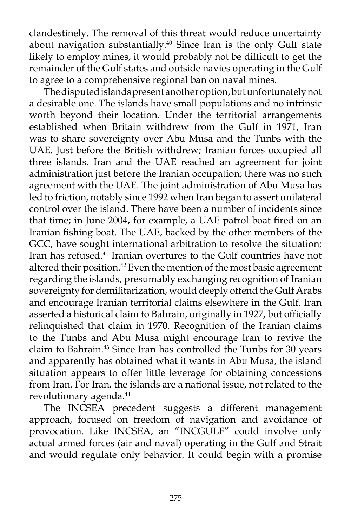clandestinely. The removal of this threat would reduce uncertainty about navigation substantially. $40$  Since Iran is the only Gulf state likely to employ mines, it would probably not be difficult to get the remainder of the Gulf states and outside navies operating in the Gulf to agree to a comprehensive regional ban on naval mines.

 The disputed islands present another option, but unfortunately not a desirable one. The islands have small populations and no intrinsic worth beyond their location. Under the territorial arrangements established when Britain withdrew from the Gulf in 1971, Iran was to share sovereignty over Abu Musa and the Tunbs with the UAE. Just before the British withdrew; Iranian forces occupied all three islands. Iran and the UAE reached an agreement for joint administration just before the Iranian occupation; there was no such agreement with the UAE. The joint administration of Abu Musa has led to friction, notably since 1992 when Iran began to assert unilateral control over the island. There have been a number of incidents since that time; in June 2004, for example, a UAE patrol boat fired on an Iranian fishing boat. The UAE, backed by the other members of the GCC, have sought international arbitration to resolve the situation; Iran has refused.<sup>41</sup> Iranian overtures to the Gulf countries have not altered their position.<sup>42</sup> Even the mention of the most basic agreement regarding the islands, presumably exchanging recognition of Iranian sovereignty for demilitarization, would deeply offend the Gulf Arabs and encourage Iranian territorial claims elsewhere in the Gulf. Iran asserted a historical claim to Bahrain, originally in 1927, but officially relinquished that claim in 1970. Recognition of the Iranian claims to the Tunbs and Abu Musa might encourage Iran to revive the claim to Bahrain.<sup>43</sup> Since Iran has controlled the Tunbs for 30 years and apparently has obtained what it wants in Abu Musa, the island situation appears to offer little leverage for obtaining concessions from Iran. For Iran, the islands are a national issue, not related to the revolutionary agenda.<sup>44</sup>

 The INCSEA precedent suggests a different management approach, focused on freedom of navigation and avoidance of provocation. Like INCSEA, an "INCGULF" could involve only actual armed forces (air and naval) operating in the Gulf and Strait and would regulate only behavior. It could begin with a promise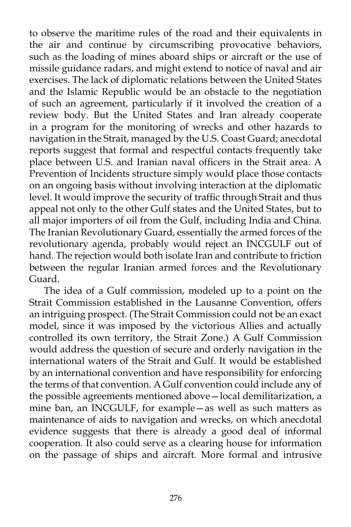to observe the maritime rules of the road and their equivalents in the air and continue by circumscribing provocative behaviors, such as the loading of mines aboard ships or aircraft or the use of missile guidance radars, and might extend to notice of naval and air exercises. The lack of diplomatic relations between the United States and the Islamic Republic would be an obstacle to the negotiation of such an agreement, particularly if it involved the creation of a review body. But the United States and Iran already cooperate in a program for the monitoring of wrecks and other hazards to navigation in the Strait, managed by the U.S. Coast Guard; anecdotal reports suggest that formal and respectful contacts frequently take place between U.S. and Iranian naval officers in the Strait area. A Prevention of Incidents structure simply would place those contacts on an ongoing basis without involving interaction at the diplomatic level. It would improve the security of traffic through Strait and thus appeal not only to the other Gulf states and the United States, but to all major importers of oil from the Gulf, including India and China. The Iranian Revolutionary Guard, essentially the armed forces of the revolutionary agenda, probably would reject an INCGULF out of hand. The rejection would both isolate Iran and contribute to friction between the regular Iranian armed forces and the Revolutionary Guard.

 The idea of a Gulf commission, modeled up to a point on the Strait Commission established in the Lausanne Convention, offers an intriguing prospect. (The Strait Commission could not be an exact model, since it was imposed by the victorious Allies and actually controlled its own territory, the Strait Zone.) A Gulf Commission would address the question of secure and orderly navigation in the international waters of the Strait and Gulf. It would be established by an international convention and have responsibility for enforcing the terms of that convention. A Gulf convention could include any of the possible agreements mentioned above—local demilitarization, a mine ban, an INCGULF, for example—as well as such matters as maintenance of aids to navigation and wrecks, on which anecdotal evidence suggests that there is already a good deal of informal cooperation. It also could serve as a clearing house for information on the passage of ships and aircraft. More formal and intrusive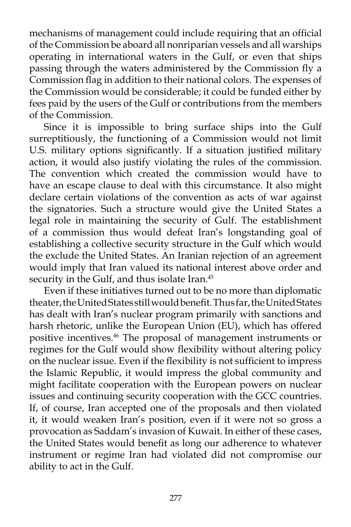mechanisms of management could include requiring that an official of the Commission be aboard all nonriparian vessels and all warships operating in international waters in the Gulf, or even that ships passing through the waters administered by the Commission fly a Commission flag in addition to their national colors. The expenses of the Commission would be considerable; it could be funded either by fees paid by the users of the Gulf or contributions from the members of the Commission.

 Since it is impossible to bring surface ships into the Gulf surreptitiously, the functioning of a Commission would not limit U.S. military options significantly. If a situation justified military action, it would also justify violating the rules of the commission. The convention which created the commission would have to have an escape clause to deal with this circumstance. It also might declare certain violations of the convention as acts of war against the signatories. Such a structure would give the United States a legal role in maintaining the security of Gulf. The establishment of a commission thus would defeat Iran's longstanding goal of establishing a collective security structure in the Gulf which would the exclude the United States. An Iranian rejection of an agreement would imply that Iran valued its national interest above order and security in the Gulf, and thus isolate Iran.<sup>45</sup>

 Even if these initiatives turned out to be no more than diplomatic theater, the United States still would benefit. Thus far, the United States has dealt with Iran's nuclear program primarily with sanctions and harsh rhetoric, unlike the European Union (EU), which has offered positive incentives.46 The proposal of management instruments or regimes for the Gulf would show flexibility without altering policy on the nuclear issue. Even if the flexibility is not sufficient to impress the Islamic Republic, it would impress the global community and might facilitate cooperation with the European powers on nuclear issues and continuing security cooperation with the GCC countries. If, of course, Iran accepted one of the proposals and then violated it, it would weaken Iran's position, even if it were not so gross a provocation as Saddam's invasion of Kuwait. In either of these cases, the United States would benefit as long our adherence to whatever instrument or regime Iran had violated did not compromise our ability to act in the Gulf.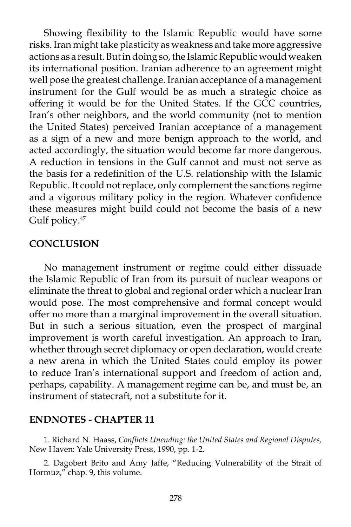Showing flexibility to the Islamic Republic would have some risks. Iran might take plasticity as weakness and take more aggressive actions as a result. But in doing so, the Islamic Republic would weaken its international position. Iranian adherence to an agreement might well pose the greatest challenge. Iranian acceptance of a management instrument for the Gulf would be as much a strategic choice as offering it would be for the United States. If the GCC countries, Iran's other neighbors, and the world community (not to mention the United States) perceived Iranian acceptance of a management as a sign of a new and more benign approach to the world, and acted accordingly, the situation would become far more dangerous. A reduction in tensions in the Gulf cannot and must not serve as the basis for a redefinition of the U.S. relationship with the Islamic Republic. It could not replace, only complement the sanctions regime and a vigorous military policy in the region. Whatever confidence these measures might build could not become the basis of a new Gulf policy.<sup>47</sup>

### **CONCLUSION**

 No management instrument or regime could either dissuade the Islamic Republic of Iran from its pursuit of nuclear weapons or eliminate the threat to global and regional order which a nuclear Iran would pose. The most comprehensive and formal concept would offer no more than a marginal improvement in the overall situation. But in such a serious situation, even the prospect of marginal improvement is worth careful investigation. An approach to Iran, whether through secret diplomacy or open declaration, would create a new arena in which the United States could employ its power to reduce Iran's international support and freedom of action and, perhaps, capability. A management regime can be, and must be, an instrument of statecraft, not a substitute for it.

#### **ENDNOTES - CHAPTER 11**

 1. Richard N. Haass, *Conflicts Unending: the United States and Regional Disputes,*  New Haven: Yale University Press, 1990, pp. 1-2.

 2. Dagobert Brito and Amy Jaffe, "Reducing Vulnerability of the Strait of Hormuz," chap. 9, this volume.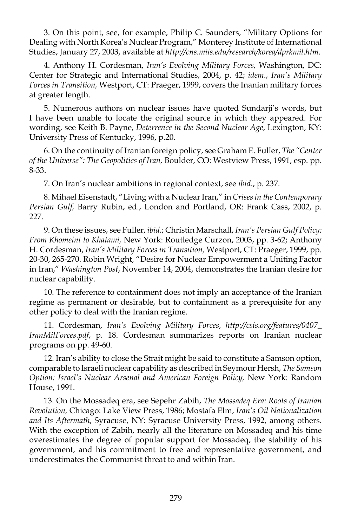3. On this point, see, for example, Philip C. Saunders, "Military Options for Dealing with North Korea's Nuclear Program," Monterey Institute of International Studies, January 27, 2003, available at *http://cns.miis.edu/research/korea/dprkmil.htm*.

 4. Anthony H. Cordesman, *Iran's Evolving Military Forces,* Washington, DC: Center for Strategic and International Studies, 2004, p. 42; *idem*., *Iran's Military Forces in Transition,* Westport, CT: Praeger, 1999, covers the Inanian military forces at greater length.

 5. Numerous authors on nuclear issues have quoted Sundarji's words, but I have been unable to locate the original source in which they appeared. For wording, see Keith B. Payne, *Deterrence in the Second Nuclear Age*, Lexington, KY: University Press of Kentucky, 1996, p.20.

 6. On the continuity of Iranian foreign policy, see Graham E. Fuller, *The "Center of the Universe": The Geopolitics of Iran,* Boulder, CO: Westview Press, 1991, esp. pp. 8-33.

7. On Iran's nuclear ambitions in regional context, see *ibid*., p. 237.

 8. Mihael Eisenstadt, "Living with a Nuclear Iran," in *Crises in the Contemporary Persian Gulf,* Barry Rubin, ed., London and Portland, OR: Frank Cass, 2002, p. 227.

 9. On these issues, see Fuller, *ibid*.; Christin Marschall, *Iran's Persian Gulf Policy: From Khomeini to Khatami,* New York: Routledge Curzon, 2003, pp. 3-62; Anthony H. Cordesman, *Iran's Military Forces in Transition,* Westport, CT: Praeger, 1999, pp. 20-30, 265-270. Robin Wright, "Desire for Nuclear Empowerment a Uniting Factor in Iran," *Washington Post*, November 14, 2004, demonstrates the Iranian desire for nuclear capability.

 10. The reference to containment does not imply an acceptance of the Iranian regime as permanent or desirable, but to containment as a prerequisite for any other policy to deal with the Iranian regime.

 11. Cordesman, *Iran's Evolving Military Forces*, *http://csis.org/features/0407\_ IranMilForces.pdf*, p. 18. Cordesman summarizes reports on Iranian nuclear programs on pp. 49-60.

 12. Iran's ability to close the Strait might be said to constitute a Samson option, comparable to Israeli nuclear capability as described in Seymour Hersh, *The Samson Option: Israel's Nuclear Arsenal and American Foreign Policy,* New York: Random House, 1991.

 13. On the Mossadeq era, see Sepehr Zabih, *The Mossadeq Era: Roots of Iranian Revolution,* Chicago: Lake View Press, 1986; Mostafa Elm, *Iran's Oil Nationalization and Its Aftermath*, Syracuse, NY: Syracuse University Press, 1992, among others. With the exception of Zabih, nearly all the literature on Mossadeq and his time overestimates the degree of popular support for Mossadeq, the stability of his government, and his commitment to free and representative government, and underestimates the Communist threat to and within Iran.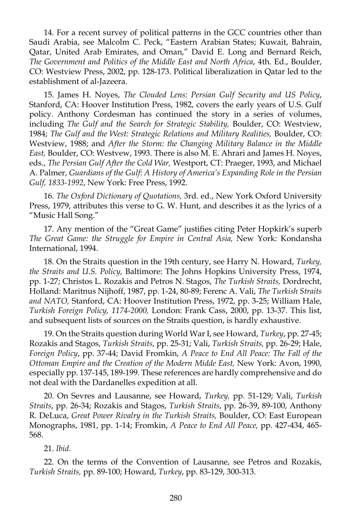14. For a recent survey of political patterns in the GCC countries other than Saudi Arabia, see Malcolm C. Peck, "Eastern Arabian States; Kuwait, Bahrain, Qatar, United Arab Emirates, and Oman," David E. Long and Bernard Reich, *The Government and Politics of the Middle East and North Africa*, 4th. Ed., Boulder, CO: Westview Press, 2002, pp. 128-173. Political liberalization in Qatar led to the establishment of al-Jazeera.

 15. James H. Noyes, *The Clouded Lens: Persian Gulf Security and US Policy*, Stanford, CA: Hoover Institution Press, 1982, covers the early years of U.S. Gulf policy. Anthony Cordesman has continued the story in a series of volumes, including *The Gulf and the Search for Strategic Stability,* Boulder, CO: Westview, 1984; *The Gulf and the West: Strategic Relations and Military Realities,* Boulder, CO: Westview, 1988; and *After the Storm: the Changing Military Balance in the Middle East,* Boulder, CO: Westvew, 1993. There is also M. E. Ahrari and James H. Noyes, eds., *The Persian Gulf After the Cold War,* Westport, CT: Praeger, 1993, and Michael A. Palmer, *Guardians of the Gulf: A History of America's Expanding Role in the Persian Gulf, 1833-1992*, New York: Free Press, 1992.

 16. *The Oxford Dictionary of Quotations,* 3rd. ed., New York Oxford University Press, 1979, attributes this verse to G. W. Hunt, and describes it as the lyrics of a "Music Hall Song."

 17. Any mention of the "Great Game" justifies citing Peter Hopkirk's superb *The Great Game: the Struggle for Empire in Central Asia,* New York: Kondansha International, 1994.

 18. On the Straits question in the 19th century, see Harry N. Howard, *Turkey, the Straits and U.S. Policy,* Baltimore: The Johns Hopkins University Press, 1974, pp. 1-27; Christos L. Rozakis and Petros N. Stagos, *The Turkish Straits,* Dordrecht, Holland: Maritnus Nijhoff, 1987, pp. 1-24, 80-89; Ferenc A. Vali, *The Turkish Straits and NATO,* Stanford, CA: Hoover Institution Press, 1972, pp. 3-25; William Hale, *Turkish Foreign Policy, 1174-2000,* London: Frank Cass, 2000, pp. 13-37. This list, and subsequent lists of sources on the Straits question, is hardly exhaustive.

 19. On the Straits question during World War I, see Howard, *Turkey*, pp*.* 27-45; Rozakis and Stagos, *Turkish Straits*, pp. 25-31; Vali, *Turkish Straits,* pp. 26-29; Hale, *Foreign Policy*, pp. 37-44; David Fromkin, *A Peace to End All Peace: The Fall of the Ottoman Empire and the Creation of the Modern Midde East,* New York: Avon, 1990, especially pp. 137-145, 189-199. These references are hardly comprehensive and do not deal with the Dardanelles expedition at all.

 20. On Sevres and Lausanne, see Howard, *Turkey,* pp. 51-129; Vali, *Turkish Straits*, pp. 26-34; Rozakis and Stagos, *Turkish Straits*, pp. 26-39, 89-100, Anthony R. DeLuca, *Great Power Rivalry in the Turkish Straits,* Boulder, CO: East European Monographs, 1981, pp. 1-14; Fromkin, *A Peace to End All Peace,* pp. 427-434, 465- 568.

21. *Ibid*.

 22. On the terms of the Convention of Lausanne, see Petros and Rozakis, *Turkish Straits,* pp. 89-100; Howard, *Turkey*, pp. 83-129, 300-313.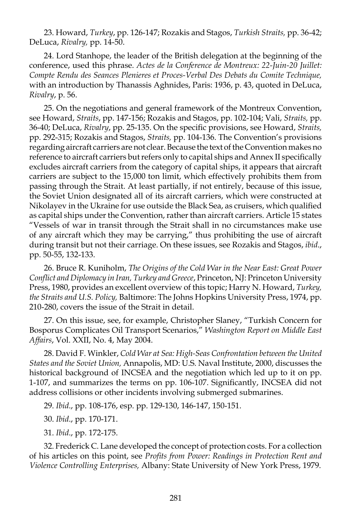23. Howard, *Turkey*, pp. 126-147; Rozakis and Stagos, *Turkish Straits,* pp. 36-42; DeLuca, *Rivalry,* pp. 14-50.

 24. Lord Stanhope, the leader of the British delegation at the beginning of the conference, used this phrase. *Actes de la Conference de Montreux: 22-Juin-20 Juillet: Compte Rendu des Seances Plenieres et Proces-Verbal Des Debats du Comite Technique,*  with an introduction by Thanassis Aghnides, Paris: 1936, p. 43, quoted in DeLuca, *Rivalry*, p. 56.

 25. On the negotiations and general framework of the Montreux Convention, see Howard, *Straits*, pp. 147-156; Rozakis and Stagos, pp. 102-104; Vali, *Straits,* pp. 36-40; DeLuca, *Rivalry*, pp. 25-135. On the specific provisions, see Howard, *Straits,* pp. 292-315; Rozakis and Stagos, *Straits,* pp. 104-136. The Convention's provisions regarding aircraft carriers are not clear. Because the text of the Convention makes no reference to aircraft carriers but refers only to capital ships and Annex II specifically excludes aircraft carriers from the category of capital ships, it appears that aircraft carriers are subject to the 15,000 ton limit, which effectively prohibits them from passing through the Strait. At least partially, if not entirely, because of this issue, the Soviet Union designated all of its aircraft carriers, which were constructed at Nikolayev in the Ukraine for use outside the Black Sea, as cruisers, which qualified as capital ships under the Convention, rather than aircraft carriers. Article 15 states "Vessels of war in transit through the Strait shall in no circumstances make use of any aircraft which they may be carrying," thus prohibiting the use of aircraft during transit but not their carriage. On these issues, see Rozakis and Stagos, *ibid*., pp. 50-55, 132-133.

 26. Bruce R. Kuniholm, *The Origins of the Cold War in the Near East: Great Power Conflict and Diplomacy in Iran, Turkey and Greece*, Princeton, NJ: Princeton University Press, 1980, provides an excellent overview of this topic; Harry N. Howard, *Turkey, the Straits and U.S. Policy,* Baltimore: The Johns Hopkins University Press, 1974, pp. 210-280, covers the issue of the Strait in detail.

 27. On this issue, see, for example, Christopher Slaney, "Turkish Concern for Bosporus Complicates Oil Transport Scenarios," *Washington Report on Middle East Affairs*, Vol. XXII, No. 4, May 2004.

 28. David F. Winkler, *Cold War at Sea: High-Seas Confrontation between the United States and the Soviet Union,* Annapolis, MD: U.S. Naval Institute, 2000, discusses the historical background of INCSEA and the negotiation which led up to it on pp. 1-107, and summarizes the terms on pp. 106-107. Significantly, INCSEA did not address collisions or other incidents involving submerged submarines.

29. *Ibid*., pp. 108-176, esp. pp. 129-130, 146-147, 150-151.

30. *Ibid*., pp. 170-171.

31. *Ibid*., pp. 172-175.

 32. Frederick C. Lane developed the concept of protection costs. For a collection of his articles on this point, see *Profits from Power: Readings in Protection Rent and Violence Controlling Enterprises,* Albany: State University of New York Press, 1979.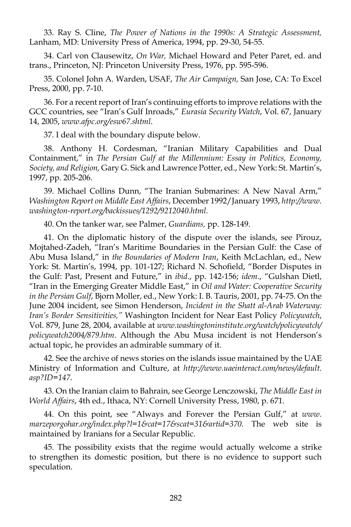33. Ray S. Cline, *The Power of Nations in the 1990s: A Strategic Assessment,*  Lanham, MD: University Press of America, 1994, pp. 29-30, 54-55.

 34. Carl von Clausewitz, *On War,* Michael Howard and Peter Paret, ed. and trans., Princeton, NJ: Princeton University Press, 1976, pp. 595-596.

 35. Colonel John A. Warden, USAF, *The Air Campaign,* San Jose, CA: To Excel Press, 2000, pp. 7-10.

 36. For a recent report of Iran's continuing efforts to improve relations with the GCC countries, see "Iran's Gulf Inroads," *Eurasia Security Watch*, Vol. 67, January 14, 2005, *www.afpc.org/esw67.shtml*.

37. I deal with the boundary dispute below.

 38. Anthony H. Cordesman, "Iranian Military Capabilities and Dual Containment," in *The Persian Gulf at the Millennium: Essay in Politics, Economy, Society, and Religion,* Gary G. Sick and Lawrence Potter, ed., New York: St. Martin's, 1997, pp. 205-206.

 39. Michael Collins Dunn, "The Iranian Submarines: A New Naval Arm," *Washington Report on Middle East Affairs*, December 1992/January 1993, *http://www. washington-report.org/backissues/1292/9212040.html*.

40. On the tanker war, see Palmer, *Guardians,* pp. 128-149.

 41. On the diplomatic history of the dispute over the islands, see Pirouz, Mojtahed-Zadeh, "Iran's Maritime Boundaries in the Persian Gulf: the Case of Abu Musa Island," in *the Boundaries of Modern Iran*, Keith McLachlan, ed., New York: St. Martin's, 1994, pp. 101-127; Richard N. Schofield, "Border Disputes in the Gulf: Past, Present and Future," in *ibid*., pp. 142-156; *idem*., "Gulshan Dietl, "Iran in the Emerging Greater Middle East," in *Oil and Water: Cooperative Security in the Persian Gulf*, Bjorn Moller, ed., New York: I. B. Tauris, 2001, pp. 74-75. On the June 2004 incident, see Simon Henderson, *Incident in the Shatt al-Arab Waterway: Iran's Border Sensitivities,"* Washington Incident for Near East Policy *Policywatch*, Vol. 879, June 28, 2004, available at *www.washingtoninstitute.org/watch/policywatch/ policywatch2004/879.htm*. Although the Abu Musa incident is not Henderson's actual topic, he provides an admirable summary of it.

 42. See the archive of news stories on the islands issue maintained by the UAE Ministry of Information and Culture, at *http://www.uaeinteract.com/news/default. asp?ID=147*.

 43. On the Iranian claim to Bahrain, see George Lenczowski, *The Middle East in World Affairs*, 4th ed., Ithaca, NY: Cornell University Press, 1980, p. 671.

 44. On this point, see "Always and Forever the Persian Gulf," at *www. marzeporgohar.org/index.php?l=1&cat=17&scat=31&artid=370*. The web site is maintained by Iranians for a Secular Republic.

 45. The possibility exists that the regime would actually welcome a strike to strengthen its domestic position, but there is no evidence to support such speculation.